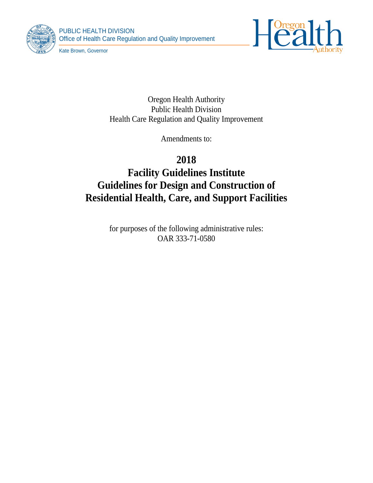





Kate Brown, Governor

Oregon Health Authority Public Health Division Health Care Regulation and Quality Improvement

Amendments to:

**2018 Facility Guidelines Institute Guidelines for Design and Construction of Residential Health, Care, and Support Facilities**

> for purposes of the following administrative rules: OAR 333-71-0580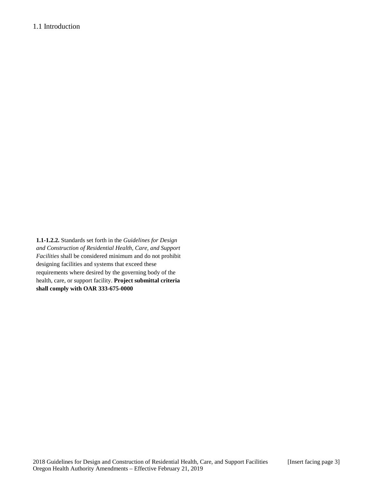**1.1-1.2.2.** Standards set forth in the *Guidelines for Design and Construction of Residential Health, Care, and Support Facilities* shall be considered minimum and do not prohibit designing facilities and systems that exceed these requirements where desired by the governing body of the health, care, or support facility. **Project submittal criteria shall comply with OAR 333-675-0000**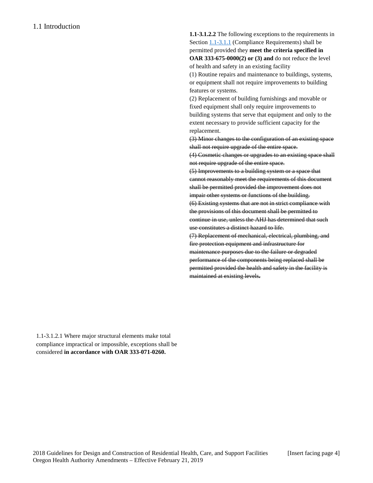**1.1-3.1.2.2** The following exceptions to the requirements in Sectio[n 1.1-3.1.1](http://www.madcad.com/library/230688/664248/#section-1.1-3.1.1) (Compliance Requirements) shall be permitted provided they **meet the criteria specified in OAR 333-675-0000(2) or (3) and** do not reduce the level of health and safety in an existing facility

(1) Routine repairs and maintenance to buildings, systems, or equipment shall not require improvements to building features or systems.

(2) Replacement of building furnishings and movable or fixed equipment shall only require improvements to building systems that serve that equipment and only to the extent necessary to provide sufficient capacity for the replacement.

(3) Minor changes to the configuration of an existing space shall not require upgrade of the entire space.

(4) Cosmetic changes or upgrades to an existing space shall not require upgrade of the entire space.

(5) Improvements to a building system or a space that cannot reasonably meet the requirements of this document shall be permitted provided the improvement does not impair other systems or functions of the building.

(6) Existing systems that are not in strict compliance with the provisions of this document shall be permitted to continue in use, unless the AHJ has determined that such use constitutes a distinct hazard to life.

(7) Replacement of mechanical, electrical, plumbing, and fire protection equipment and infrastructure for maintenance purposes due to the failure or degraded performance of the components being replaced shall be permitted provided the health and safety in the facility is maintained at existing levels**.**

1.1-3.1.2.1 Where major structural elements make total compliance impractical or impossible, exceptions shall be considered **in accordance with OAR 333-071-0260.**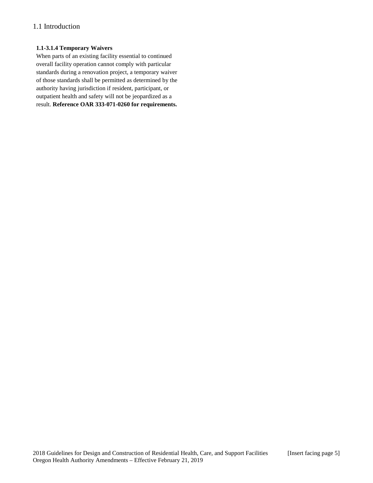# 1.1 Introduction

### **1.1-3.1.4 Temporary Waivers**

When parts of an existing facility essential to continued overall facility operation cannot comply with particular standards during a renovation project, a temporary waiver of those standards shall be permitted as determined by the authority having jurisdiction if resident, participant, or outpatient health and safety will not be jeopardized as a result. **Reference OAR 333-071-0260 for requirements.**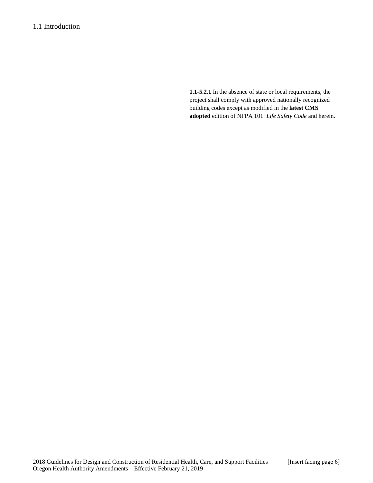## 1.1 Introduction

**1.1-5.2.1** In the absence of state or local requirements, the project shall comply with approved nationally recognized building codes except as modified in the **latest CMS adopted** edition of NFPA 101: *Life Safety Code* and herein.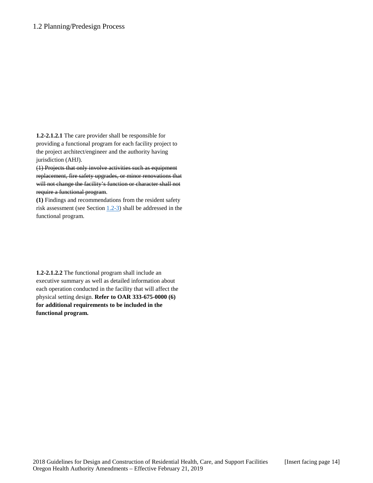### 1.2 Planning/Predesign Process

**1.2-2.1.2.1** The care provider shall be responsible for providing a functional program for each facility project to the project architect/engineer and the authority having jurisdiction (AHJ).

(1) Projects that only involve activities such as equipment replacement, fire safety upgrades, or minor renovations that will not change the facility's function or character shall not require a functional program.

**(1)** Findings and recommendations from the resident safety risk assessment (see Section  $1.2-3$ ) shall be addressed in the functional program.

**1.2-2.1.2.2** The functional program shall include an executive summary as well as detailed information about each operation conducted in the facility that will affect the physical setting design. **Refer to OAR 333-675-0000 (6) for additional requirements to be included in the functional program.**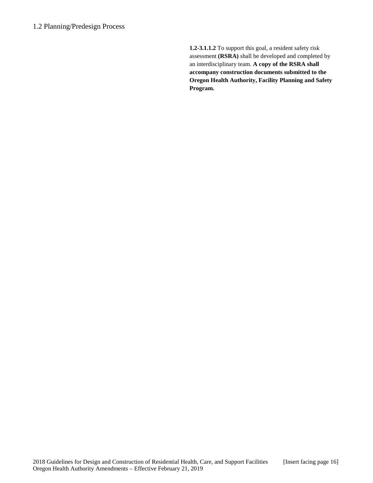**1.2-3.1.1.2** To support this goal, a resident safety risk assessment **(RSRA)** shall be developed and completed by an interdisciplinary team. **A copy of the RSRA shall accompany construction documents submitted to the Oregon Health Authority, Facility Planning and Safety Program.**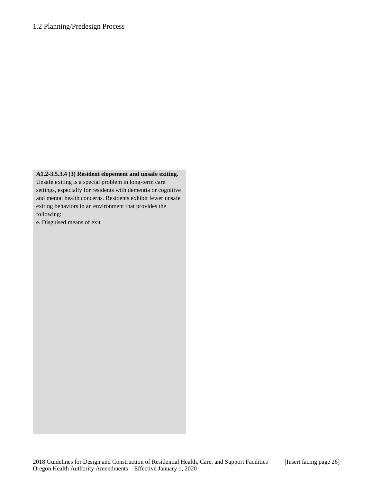## 1.2 Planning/Predesign Process

### **A1.2-3.5.3.4 (3) Resident elopement and unsafe exiting.**

Unsafe exiting is a special problem in long-term care settings, especially for residents with dementia or cognitive and mental health concerns. Residents exhibit fewer unsafe exiting behaviors in an environment that provides the following:

e. Disguised means of exit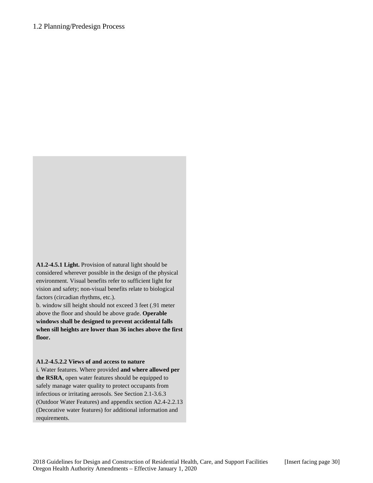**A1.2-4.5.1 Light.** Provision of natural light should be considered wherever possible in the design of the physical environment. Visual benefits refer to sufficient light for vision and safety; non-visual benefits relate to biological factors (circadian rhythms, etc.).

b. window sill height should not exceed 3 feet (.91 meter above the floor and should be above grade. **Operable windows shall be designed to prevent accidental falls when sill heights are lower than 36 inches above the first floor.** 

#### **A1.2-4.5.2.2 Views of and access to nature**

i. Water features. Where provided **and where allowed per the RSRA**, open water features should be equipped to safely manage water quality to protect occupants from infectious or irritating aerosols. See Section 2.1-3.6.3 (Outdoor Water Features) and appendix section A2.4-2.2.13 (Decorative water features) for additional information and requirements.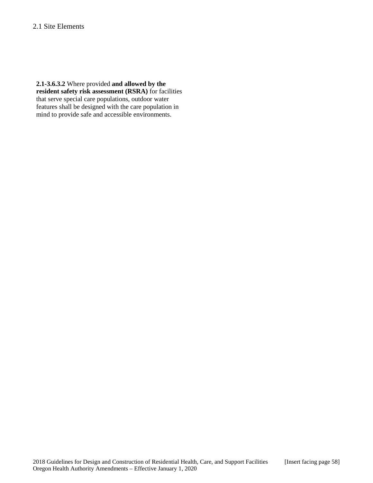## 2.1 Site Elements

**2.1-3.6.3.2** Where provided **and allowed by the resident safety risk assessment (RSRA)** for facilities that serve special care populations, outdoor water features shall be designed with the care population in mind to provide safe and accessible environments.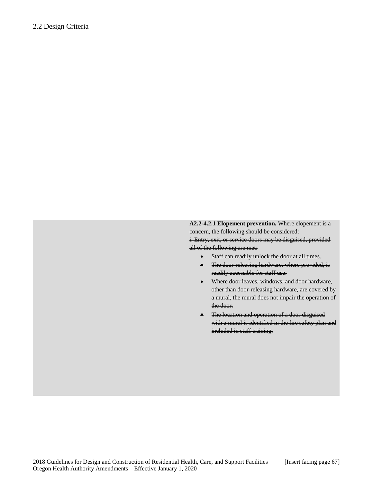**A2.2-4.2.1 Elopement prevention.** Where elopement is a concern, the following should be considered:

i. Entry, exit, or service doors may be disguised, provided all of the following are met:

- Staff can readily unlock the door at all times.
- The door releasing hardware, where provided, is readily accessible for staff use.
- Where door leaves, windows, and door hardware, other than door-releasing hardware, are covered by a mural, the mural does not impair the operation of the door.
- The location and operation of a door disguised with a mural is identified in the fire safety plan and included in staff training.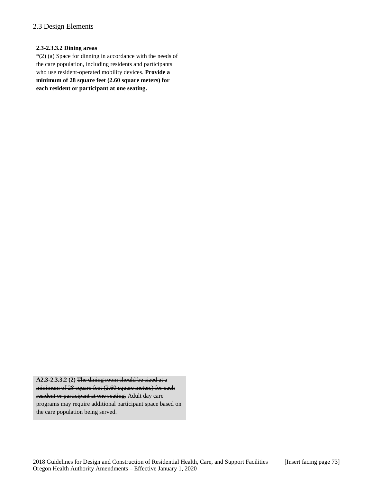# 2.3 Design Elements

#### **2.3-2.3.3.2 Dining areas**

\*(2) (a) Space for dinning in accordance with the needs of the care population, including residents and participants who use resident-operated mobility devices. **Provide a minimum of 28 square feet (2.60 square meters) for each resident or participant at one seating.**

**A2.3-2.3.3.2 (2)** The dining room should be sized at a minimum of 28 square feet (2.60 square meters) for each resident or participant at one seating. Adult day care programs may require additional participant space based on the care population being served.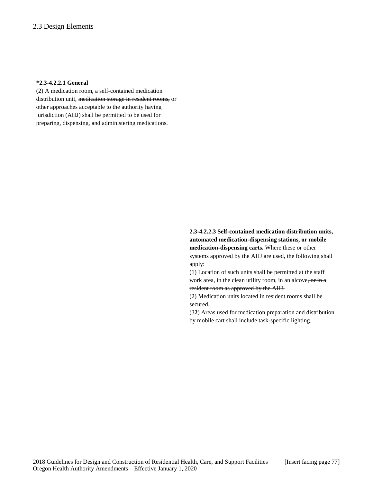#### **\*2.3-4.2.2.1 General**

(2) A medication room, a self-contained medication distribution unit, medication storage in resident rooms, or other approaches acceptable to the authority having jurisdiction (AHJ) shall be permitted to be used for preparing, dispensing, and administering medications.

# **2.3-4.2.2.3 Self-contained medication distribution units, automated medication-dispensing stations, or mobile medication-dispensing carts.** Where these or other

systems approved by the AHJ are used, the following shall apply:

(1) Location of such units shall be permitted at the staff work area, in the clean utility room, in an alcove, or in a resident room as approved by the AHJ.

(2) Medication units located in resident rooms shall be secured.

(3**2**) Areas used for medication preparation and distribution by mobile cart shall include task-specific lighting.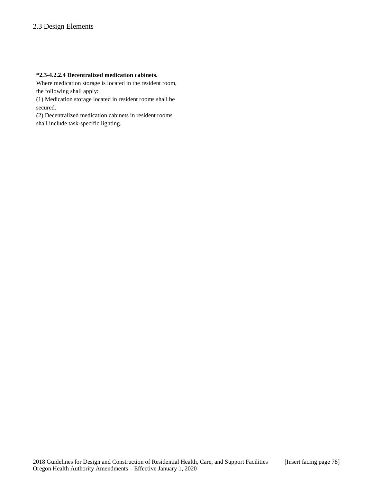# 2.3 Design Elements

### **\*2.3-4.2.2.4 Decentralized medication cabinets.**

Where medication storage is located in the resident room, the following shall apply:

(1) Medication storage located in resident rooms shall be secured.

(2) Decentralized medication cabinets in resident rooms shall include task-specific lighting.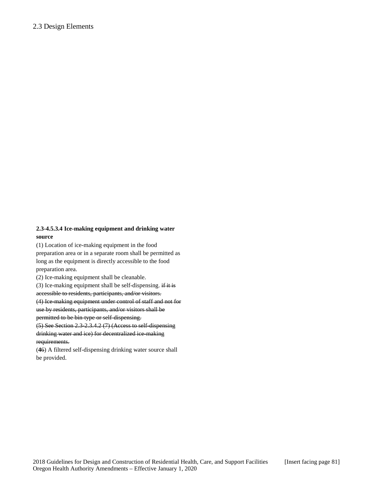### **2.3-4.5.3.4 Ice-making equipment and drinking water source**

(1) Location of ice-making equipment in the food preparation area or in a separate room shall be permitted as long as the equipment is directly accessible to the food preparation area.

(2) Ice-making equipment shall be cleanable.

(3) Ice-making equipment shall be self-dispensing.  $\overrightarrow{if it is}$ accessible to residents, participants, and/or visitors.

(4) Ice-making equipment under control of staff and not for use by residents, participants, and/or visitors shall be

permitted to be bin-type or self-dispensing.

 $(5)$  See Section 2.3-2.3.4.2 (7) (Access to self-dispensing drinking water and ice) for decentralized ice-making requirements.

(**4**6) A filtered self-dispensing drinking water source shall be provided.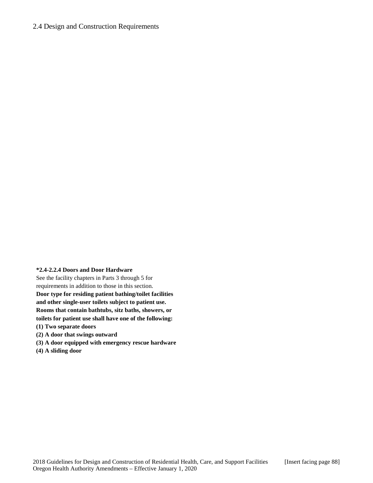### 2.4 Design and Construction Requirements

#### **\*2.4-2.2.4 Doors and Door Hardware**

See the facility chapters in Parts 3 through 5 for requirements in addition to those in this section. **Door type for residing patient bathing/toilet facilities and other single-user toilets subject to patient use. Rooms that contain bathtubs, sitz baths, showers, or toilets for patient use shall have one of the following:**

- **(1) Two separate doors**
- **(2) A door that swings outward**
- **(3) A door equipped with emergency rescue hardware**
- **(4) A sliding door**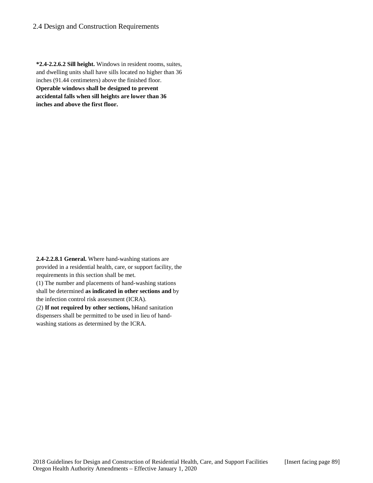### 2.4 Design and Construction Requirements

**\*2.4-2.2.6.2 Sill height.** Windows in resident rooms, suites, and dwelling units shall have sills located no higher than 36 inches (91.44 centimeters) above the finished floor. **Operable windows shall be designed to prevent accidental falls when sill heights are lower than 36 inches and above the first floor.**

**2.4-2.2.8.1 General.** Where hand-washing stations are provided in a residential health, care, or support facility, the requirements in this section shall be met.

(1) The number and placements of hand-washing stations shall be determined **as indicated in other sections and** by the infection control risk assessment (ICRA).

(2) **If not required by other sections,** hHand sanitation dispensers shall be permitted to be used in lieu of handwashing stations as determined by the ICRA.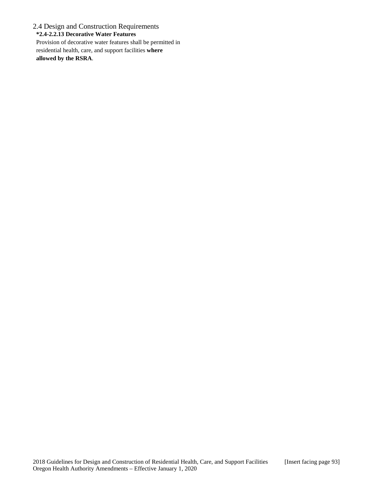2.4 Design and Construction Requirements **\*2.4-2.2.13 Decorative Water Features** Provision of decorative water features shall be permitted in residential health, care, and support facilities **where allowed by the RSRA**.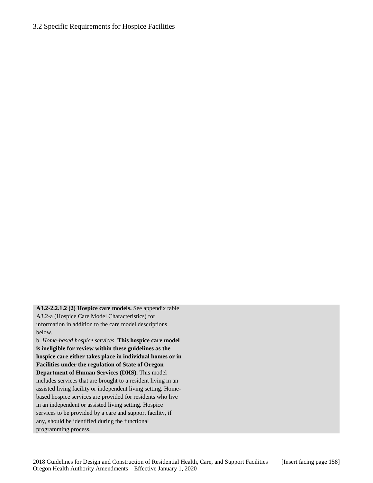## 3.2 Specific Requirements for Hospice Facilities

**A3.2-2.2.1.2 (2) Hospice care models.** See appendix table A3.2-a (Hospice Care Model Characteristics) for information in addition to the care model descriptions below.

b. *Home-based hospice services*. **This hospice care model is ineligible for review within these guidelines as the hospice care either takes place in individual homes or in Facilities under the regulation of State of Oregon Department of Human Services (DHS).** This model includes services that are brought to a resident living in an assisted living facility or independent living setting. Homebased hospice services are provided for residents who live in an independent or assisted living setting. Hospice services to be provided by a care and support facility, if any, should be identified during the functional programming process.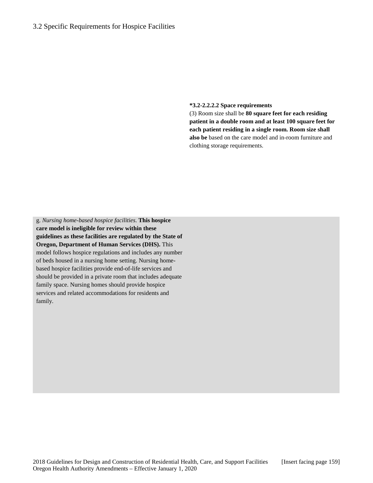**\*3.2-2.2.2.2 Space requirements**

(3) Room size shall be **80 square feet for each residing patient in a double room and at least 100 square feet for each patient residing in a single room. Room size shall also be** based on the care model and in-room furniture and clothing storage requirements.

g. *Nursing home-based hospice facilities*. **This hospice care model is ineligible for review within these guidelines as these facilities are regulated by the State of Oregon, Department of Human Services (DHS).** This model follows hospice regulations and includes any number of beds housed in a nursing home setting. Nursing homebased hospice facilities provide end-of-life services and should be provided in a private room that includes adequate family space. Nursing homes should provide hospice services and related accommodations for residents and family.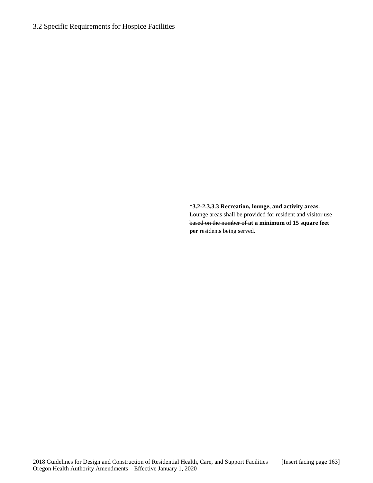# 3.2 Specific Requirements for Hospice Facilities

**\*3.2-2.3.3.3 Recreation, lounge, and activity areas.** Lounge areas shall be provided for resident and visitor use based on the number of **at a minimum of 15 square feet per** residents being served.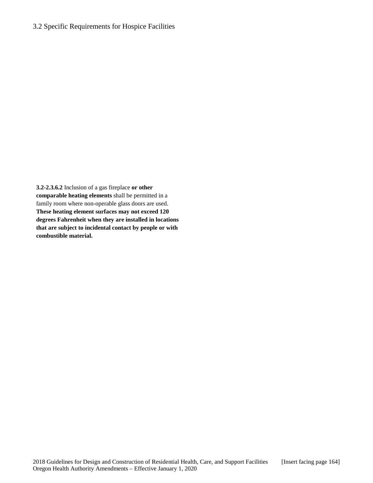## 3.2 Specific Requirements for Hospice Facilities

**3.2-2.3.6.2** Inclusion of a gas fireplace **or other comparable heating elements** shall be permitted in a family room where non-operable glass doors are used. **These heating element surfaces may not exceed 120 degrees Fahrenheit when they are installed in locations that are subject to incidental contact by people or with combustible material.**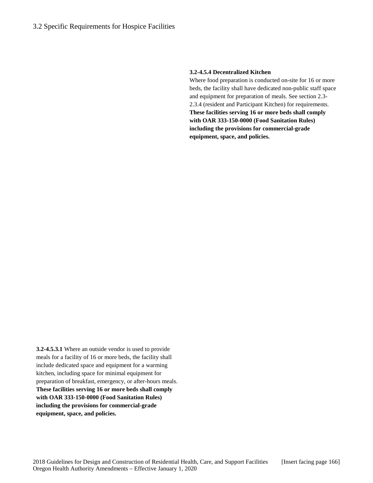#### **3.2-4.5.4 Decentralized Kitchen**

Where food preparation is conducted on-site for 16 or more beds, the facility shall have dedicated non-public staff space and equipment for preparation of meals. See section 2.3- 2.3.4 (resident and Participant Kitchen) for requirements. **These facilities serving 16 or more beds shall comply with OAR 333-150-0000 (Food Sanitation Rules) including the provisions for commercial-grade equipment, space, and policies.**

**3.2-4.5.3.1** Where an outside vendor is used to provide meals for a facility of 16 or more beds, the facility shall include dedicated space and equipment for a warming kitchen, including space for minimal equipment for preparation of breakfast, emergency, or after-hours meals. **These facilities serving 16 or more beds shall comply with OAR 333-150-0000 (Food Sanitation Rules) including the provisions for commercial-grade equipment, space, and policies.**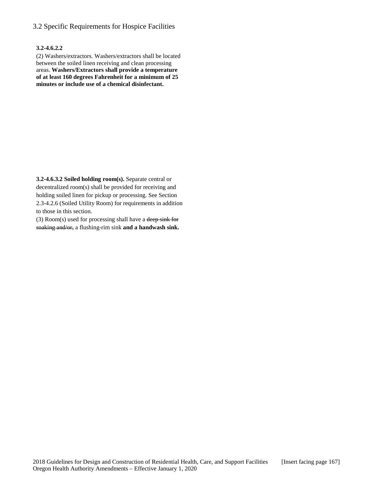## 3.2 Specific Requirements for Hospice Facilities

#### **3.2-4.6.2.2**

(2) Washers/extractors. Washers/extractors shall be located between the soiled linen receiving and clean processing areas. **Washers/Extractors shall provide a temperature of at least 160 degrees Fahrenheit for a minimum of 25 minutes or include use of a chemical disinfectant.**

**3.2-4.6.3.2 Soiled holding room(s).** Separate central or decentralized room(s) shall be provided for receiving and holding soiled linen for pickup or processing. See Section 2.3-4.2.6 (Soiled Utility Room) for requirements in addition to those in this section.

(3)  $Room(s)$  used for processing shall have a deep sink for soaking and/or, a flushing-rim sink **and a handwash sink.**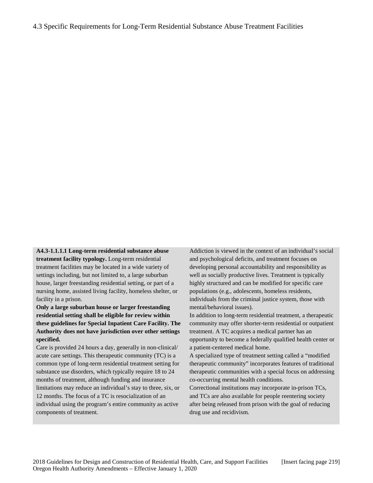**A4.3-1.1.1.1 Long-term residential substance abuse treatment facility typology.** Long-term residential treatment facilities may be located in a wide variety of settings including, but not limited to, a large suburban house, larger freestanding residential setting, or part of a nursing home, assisted living facility, homeless shelter, or facility in a prison.

**Only a large suburban house or larger freestanding residential setting shall be eligible for review within these guidelines for Special Inpatient Care Facility. The Authority does not have jurisdiction over other settings specified.**

Care is provided 24 hours a day, generally in non-clinical/ acute care settings. This therapeutic community (TC) is a common type of long-term residential treatment setting for substance use disorders, which typically require 18 to 24 months of treatment, although funding and insurance limitations may reduce an individual's stay to three, six, or 12 months. The focus of a TC is resocialization of an individual using the program's entire community as active components of treatment.

Addiction is viewed in the context of an individual's social and psychological deficits, and treatment focuses on developing personal accountability and responsibility as well as socially productive lives. Treatment is typically highly structured and can be modified for specific care populations (e.g., adolescents, homeless residents, individuals from the criminal justice system, those with mental/behavioral issues).

In addition to long-term residential treatment, a therapeutic community may offer shorter-term residential or outpatient treatment. A TC acquires a medical partner has an opportunity to become a federally qualified health center or a patient-centered medical home.

A specialized type of treatment setting called a "modified therapeutic community" incorporates features of traditional therapeutic communities with a special focus on addressing co-occurring mental health conditions.

Correctional institutions may incorporate in-prison TCs, and TCs are also available for people reentering society after being released from prison with the goal of reducing drug use and recidivism.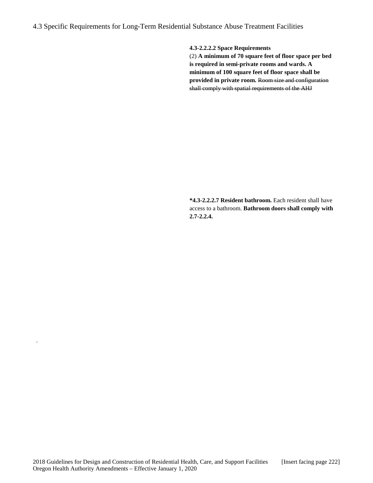**4.3-2.2.2.2 Space Requirements**

(2) **A minimum of 70 square feet of floor space per bed is required in semi-private rooms and wards. A minimum of 100 square feet of floor space shall be provided in private room.** Room size and configuration shall comply with spatial requirements of the AHJ

**\*4.3-2.2.2.7 Resident bathroom.** Each resident shall have access to a bathroom. **Bathroom doors shall comply with 2.7-2.2.4.**

.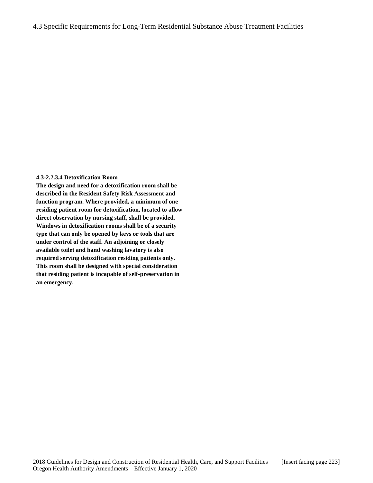#### **4.3-2.2.3.4 Detoxification Room**

**The design and need for a detoxification room shall be described in the Resident Safety Risk Assessment and function program. Where provided, a minimum of one residing patient room for detoxification, located to allow direct observation by nursing staff, shall be provided. Windows in detoxification rooms shall be of a security type that can only be opened by keys or tools that are under control of the staff. An adjoining or closely available toilet and hand washing lavatory is also required serving detoxification residing patients only. This room shall be designed with special consideration that residing patient is incapable of self-preservation in an emergency.**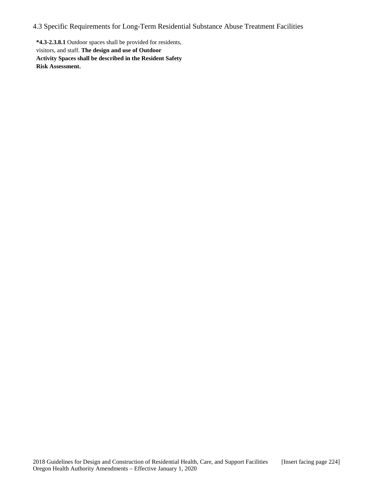**\*4.3-2.3.8.1** Outdoor spaces shall be provided for residents, visitors, and staff. **The design and use of Outdoor Activity Spaces shall be described in the Resident Safety Risk Assessment.**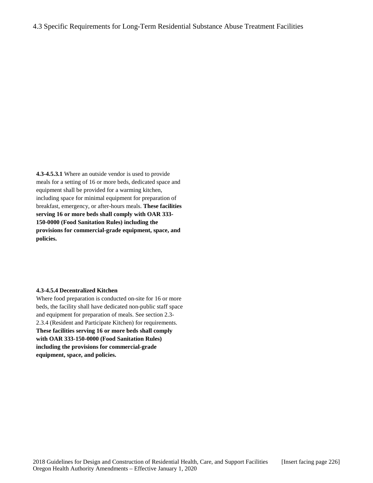**4.3-4.5.3.1** Where an outside vendor is used to provide meals for a setting of 16 or more beds, dedicated space and equipment shall be provided for a warming kitchen, including space for minimal equipment for preparation of breakfast, emergency, or after-hours meals. **These facilities serving 16 or more beds shall comply with OAR 333- 150-0000 (Food Sanitation Rules) including the provisions for commercial-grade equipment, space, and policies.**

#### **4.3-4.5.4 Decentralized Kitchen**

Where food preparation is conducted on-site for 16 or more beds, the facility shall have dedicated non-public staff space and equipment for preparation of meals. See section 2.3- 2.3.4 (Resident and Participate Kitchen) for requirements. **These facilities serving 16 or more beds shall comply with OAR 333-150-0000 (Food Sanitation Rules) including the provisions for commercial-grade equipment, space, and policies.**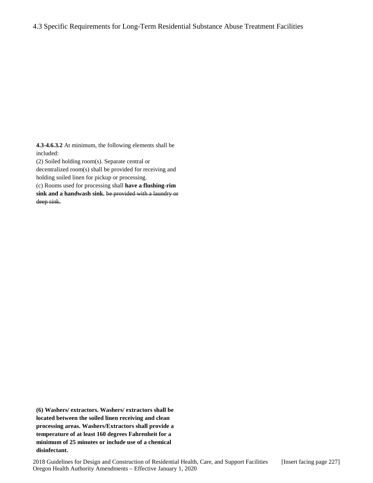**4.3-4.6.3.2** At minimum, the following elements shall be included:

(2) Soiled holding room(s). Separate central or

decentralized room(s) shall be provided for receiving and holding soiled linen for pickup or processing.

(c) Rooms used for processing shall **have a flushing-rim sink and a handwash sink.** be provided with a laundry or deep sink.

**(6) Washers/ extractors. Washers/ extractors shall be located between the soiled linen receiving and clean processing areas. Washers/Extractors shall provide a temperature of at least 160 degrees Fahrenheit for a minimum of 25 minutes or include use of a chemical disinfectant.**